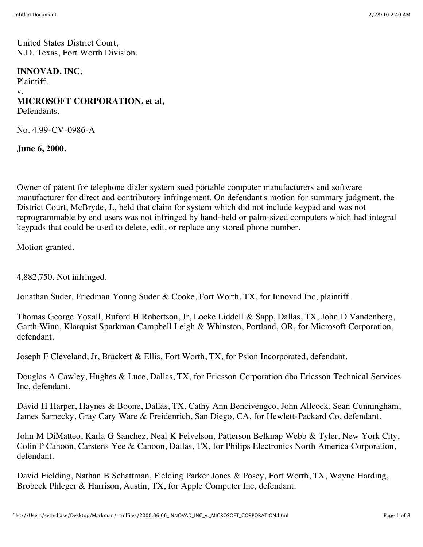United States District Court, N.D. Texas, Fort Worth Division.

### **INNOVAD, INC,**

Plaintiff. v. **MICROSOFT CORPORATION, et al,** Defendants.

No. 4:99-CV-0986-A

**June 6, 2000.**

Owner of patent for telephone dialer system sued portable computer manufacturers and software manufacturer for direct and contributory infringement. On defendant's motion for summary judgment, the District Court, McBryde, J., held that claim for system which did not include keypad and was not reprogrammable by end users was not infringed by hand-held or palm-sized computers which had integral keypads that could be used to delete, edit, or replace any stored phone number.

Motion granted.

4,882,750. Not infringed.

Jonathan Suder, Friedman Young Suder & Cooke, Fort Worth, TX, for Innovad Inc, plaintiff.

Thomas George Yoxall, Buford H Robertson, Jr, Locke Liddell & Sapp, Dallas, TX, John D Vandenberg, Garth Winn, Klarquist Sparkman Campbell Leigh & Whinston, Portland, OR, for Microsoft Corporation, defendant.

Joseph F Cleveland, Jr, Brackett & Ellis, Fort Worth, TX, for Psion Incorporated, defendant.

Douglas A Cawley, Hughes & Luce, Dallas, TX, for Ericsson Corporation dba Ericsson Technical Services Inc, defendant.

David H Harper, Haynes & Boone, Dallas, TX, Cathy Ann Bencivengco, John Allcock, Sean Cunningham, James Sarnecky, Gray Cary Ware & Freidenrich, San Diego, CA, for Hewlett-Packard Co, defendant.

John M DiMatteo, Karla G Sanchez, Neal K Feivelson, Patterson Belknap Webb & Tyler, New York City, Colin P Cahoon, Carstens Yee & Cahoon, Dallas, TX, for Philips Electronics North America Corporation, defendant.

David Fielding, Nathan B Schattman, Fielding Parker Jones & Posey, Fort Worth, TX, Wayne Harding, Brobeck Phleger & Harrison, Austin, TX, for Apple Computer Inc, defendant.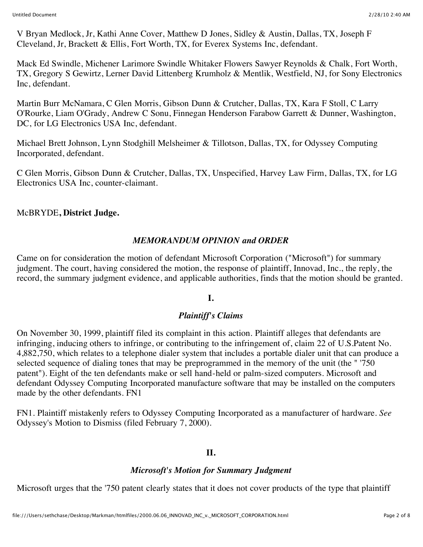V Bryan Medlock, Jr, Kathi Anne Cover, Matthew D Jones, Sidley & Austin, Dallas, TX, Joseph F Cleveland, Jr, Brackett & Ellis, Fort Worth, TX, for Everex Systems Inc, defendant.

Mack Ed Swindle, Michener Larimore Swindle Whitaker Flowers Sawyer Reynolds & Chalk, Fort Worth, TX, Gregory S Gewirtz, Lerner David Littenberg Krumholz & Mentlik, Westfield, NJ, for Sony Electronics Inc, defendant.

Martin Burr McNamara, C Glen Morris, Gibson Dunn & Crutcher, Dallas, TX, Kara F Stoll, C Larry O'Rourke, Liam O'Grady, Andrew C Sonu, Finnegan Henderson Farabow Garrett & Dunner, Washington, DC, for LG Electronics USA Inc, defendant.

Michael Brett Johnson, Lynn Stodghill Melsheimer & Tillotson, Dallas, TX, for Odyssey Computing Incorporated, defendant.

C Glen Morris, Gibson Dunn & Crutcher, Dallas, TX, Unspecified, Harvey Law Firm, Dallas, TX, for LG Electronics USA Inc, counter-claimant.

McBRYDE**, District Judge.**

### *MEMORANDUM OPINION and ORDER*

Came on for consideration the motion of defendant Microsoft Corporation ("Microsoft") for summary judgment. The court, having considered the motion, the response of plaintiff, Innovad, Inc., the reply, the record, the summary judgment evidence, and applicable authorities, finds that the motion should be granted.

## **I.**

## *Plaintiff's Claims*

On November 30, 1999, plaintiff filed its complaint in this action. Plaintiff alleges that defendants are infringing, inducing others to infringe, or contributing to the infringement of, claim 22 of U.S.Patent No. 4,882,750, which relates to a telephone dialer system that includes a portable dialer unit that can produce a selected sequence of dialing tones that may be preprogrammed in the memory of the unit (the " '750 patent"). Eight of the ten defendants make or sell hand-held or palm-sized computers. Microsoft and defendant Odyssey Computing Incorporated manufacture software that may be installed on the computers made by the other defendants. FN1

FN1. Plaintiff mistakenly refers to Odyssey Computing Incorporated as a manufacturer of hardware. *See* Odyssey's Motion to Dismiss (filed February 7, 2000).

#### **II.**

#### *Microsoft's Motion for Summary Judgment*

Microsoft urges that the '750 patent clearly states that it does not cover products of the type that plaintiff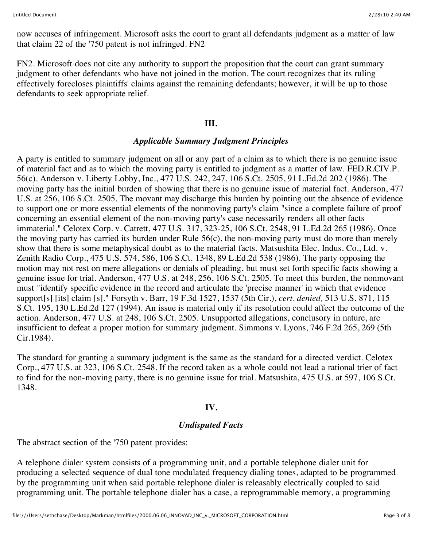now accuses of infringement. Microsoft asks the court to grant all defendants judgment as a matter of law that claim 22 of the '750 patent is not infringed. FN2

FN2. Microsoft does not cite any authority to support the proposition that the court can grant summary judgment to other defendants who have not joined in the motion. The court recognizes that its ruling effectively forecloses plaintiffs' claims against the remaining defendants; however, it will be up to those defendants to seek appropriate relief.

#### **III.**

#### *Applicable Summary Judgment Principles*

A party is entitled to summary judgment on all or any part of a claim as to which there is no genuine issue of material fact and as to which the moving party is entitled to judgment as a matter of law. FED.R.CIV.P. 56(c). Anderson v. Liberty Lobby, Inc., 477 U.S. 242, 247, 106 S.Ct. 2505, 91 L.Ed.2d 202 (1986). The moving party has the initial burden of showing that there is no genuine issue of material fact. Anderson, 477 U.S. at 256, 106 S.Ct. 2505. The movant may discharge this burden by pointing out the absence of evidence to support one or more essential elements of the nonmoving party's claim "since a complete failure of proof concerning an essential element of the non-moving party's case necessarily renders all other facts immaterial." Celotex Corp. v. Catrett, 477 U.S. 317, 323-25, 106 S.Ct. 2548, 91 L.Ed.2d 265 (1986). Once the moving party has carried its burden under Rule 56(c), the non-moving party must do more than merely show that there is some metaphysical doubt as to the material facts. Matsushita Elec. Indus. Co., Ltd. v. Zenith Radio Corp., 475 U.S. 574, 586, 106 S.Ct. 1348, 89 L.Ed.2d 538 (1986). The party opposing the motion may not rest on mere allegations or denials of pleading, but must set forth specific facts showing a genuine issue for trial. Anderson, 477 U.S. at 248, 256, 106 S.Ct. 2505. To meet this burden, the nonmovant must "identify specific evidence in the record and articulate the 'precise manner' in which that evidence support[s] [its] claim [s]." Forsyth v. Barr, 19 F.3d 1527, 1537 (5th Cir.), *cert. denied,* 513 U.S. 871, 115 S.Ct. 195, 130 L.Ed.2d 127 (1994). An issue is material only if its resolution could affect the outcome of the action. Anderson, 477 U.S. at 248, 106 S.Ct. 2505. Unsupported allegations, conclusory in nature, are insufficient to defeat a proper motion for summary judgment. Simmons v. Lyons, 746 F.2d 265, 269 (5th Cir.1984).

The standard for granting a summary judgment is the same as the standard for a directed verdict. Celotex Corp., 477 U.S. at 323, 106 S.Ct. 2548. If the record taken as a whole could not lead a rational trier of fact to find for the non-moving party, there is no genuine issue for trial. Matsushita, 475 U.S. at 597, 106 S.Ct. 1348.

#### **IV.**

#### *Undisputed Facts*

The abstract section of the '750 patent provides:

A telephone dialer system consists of a programming unit, and a portable telephone dialer unit for producing a selected sequence of dual tone modulated frequency dialing tones, adapted to be programmed by the programming unit when said portable telephone dialer is releasably electrically coupled to said programming unit. The portable telephone dialer has a case, a reprogrammable memory, a programming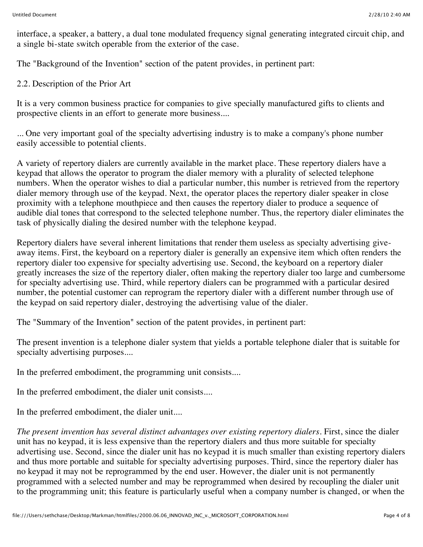interface, a speaker, a battery, a dual tone modulated frequency signal generating integrated circuit chip, and a single bi-state switch operable from the exterior of the case.

The "Background of the Invention" section of the patent provides, in pertinent part:

## 2.2. Description of the Prior Art

It is a very common business practice for companies to give specially manufactured gifts to clients and prospective clients in an effort to generate more business....

... One very important goal of the specialty advertising industry is to make a company's phone number easily accessible to potential clients.

A variety of repertory dialers are currently available in the market place. These repertory dialers have a keypad that allows the operator to program the dialer memory with a plurality of selected telephone numbers. When the operator wishes to dial a particular number, this number is retrieved from the repertory dialer memory through use of the keypad. Next, the operator places the repertory dialer speaker in close proximity with a telephone mouthpiece and then causes the repertory dialer to produce a sequence of audible dial tones that correspond to the selected telephone number. Thus, the repertory dialer eliminates the task of physically dialing the desired number with the telephone keypad.

Repertory dialers have several inherent limitations that render them useless as specialty advertising giveaway items. First, the keyboard on a repertory dialer is generally an expensive item which often renders the repertory dialer too expensive for specialty advertising use. Second, the keyboard on a repertory dialer greatly increases the size of the repertory dialer, often making the repertory dialer too large and cumbersome for specialty advertising use. Third, while repertory dialers can be programmed with a particular desired number, the potential customer can reprogram the repertory dialer with a different number through use of the keypad on said repertory dialer, destroying the advertising value of the dialer.

The "Summary of the Invention" section of the patent provides, in pertinent part:

The present invention is a telephone dialer system that yields a portable telephone dialer that is suitable for specialty advertising purposes....

In the preferred embodiment, the programming unit consists....

In the preferred embodiment, the dialer unit consists....

In the preferred embodiment, the dialer unit....

*The present invention has several distinct advantages over existing repertory dialers.* First, since the dialer unit has no keypad, it is less expensive than the repertory dialers and thus more suitable for specialty advertising use. Second, since the dialer unit has no keypad it is much smaller than existing repertory dialers and thus more portable and suitable for specialty advertising purposes. Third, since the repertory dialer has no keypad it may not be reprogrammed by the end user. However, the dialer unit is not permanently programmed with a selected number and may be reprogrammed when desired by recoupling the dialer unit to the programming unit; this feature is particularly useful when a company number is changed, or when the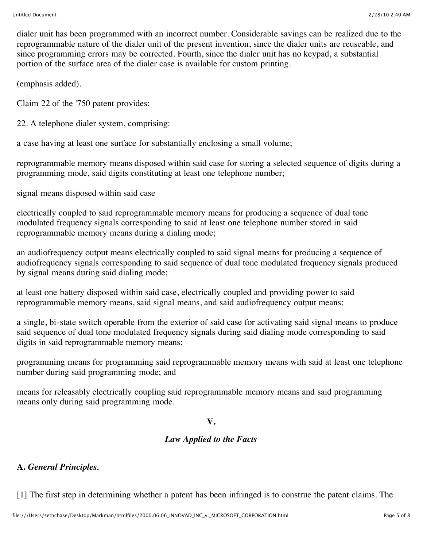dialer unit has been programmed with an incorrect number. Considerable savings can be realized due to the reprogrammable nature of the dialer unit of the present invention, since the dialer units are reuseable, and since programming errors may be corrected. Fourth, since the dialer unit has no keypad, a substantial portion of the surface area of the dialer case is available for custom printing.

(emphasis added).

Claim 22 of the '750 patent provides:

22. A telephone dialer system, comprising:

a case having at least one surface for substantially enclosing a small volume;

reprogrammable memory means disposed within said case for storing a selected sequence of digits during a programming mode, said digits constituting at least one telephone number;

signal means disposed within said case

electrically coupled to said reprogrammable memory means for producing a sequence of dual tone modulated frequency signals corresponding to said at least one telephone number stored in said reprogrammable memory means during a dialing mode;

an audiofrequency output means electrically coupled to said signal means for producing a sequence of audiofrequency signals corresponding to said sequence of dual tone modulated frequency signals produced by signal means during said dialing mode;

at least one battery disposed within said case, electrically coupled and providing power to said reprogrammable memory means, said signal means, and said audiofrequency output means;

a single, bi-state switch operable from the exterior of said case for activating said signal means to produce said sequence of dual tone modulated frequency signals during said dialing mode corresponding to said digits in said reprogrammable memory means;

programming means for programming said reprogrammable memory means with said at least one telephone number during said programming mode; and

means for releasably electrically coupling said reprogrammable memory means and said programming means only during said programming mode.

## **V.**

## *Law Applied to the Facts*

# **A.** *General Principles.*

[1] The first step in determining whether a patent has been infringed is to construe the patent claims. The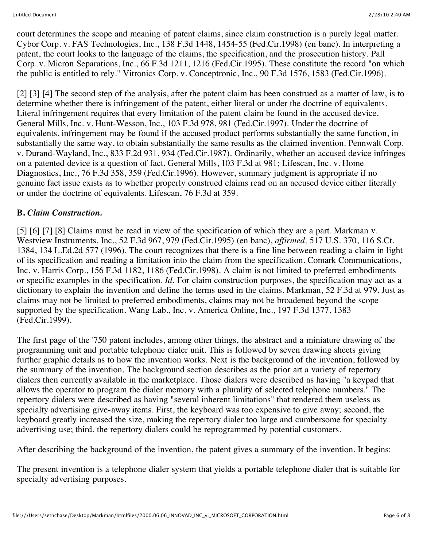court determines the scope and meaning of patent claims, since claim construction is a purely legal matter. Cybor Corp. v. FAS Technologies, Inc., 138 F.3d 1448, 1454-55 (Fed.Cir.1998) (en banc). In interpreting a patent, the court looks to the language of the claims, the specification, and the prosecution history. Pall Corp. v. Micron Separations, Inc., 66 F.3d 1211, 1216 (Fed.Cir.1995). These constitute the record "on which the public is entitled to rely." Vitronics Corp. v. Conceptronic, Inc., 90 F.3d 1576, 1583 (Fed.Cir.1996).

[2] [3] [4] The second step of the analysis, after the patent claim has been construed as a matter of law, is to determine whether there is infringement of the patent, either literal or under the doctrine of equivalents. Literal infringement requires that every limitation of the patent claim be found in the accused device. General Mills, Inc. v. Hunt-Wesson, Inc., 103 F.3d 978, 981 (Fed.Cir.1997). Under the doctrine of equivalents, infringement may be found if the accused product performs substantially the same function, in substantially the same way, to obtain substantially the same results as the claimed invention. Pennwalt Corp. v. Durand-Wayland, Inc., 833 F.2d 931, 934 (Fed.Cir.1987). Ordinarily, whether an accused device infringes on a patented device is a question of fact. General Mills, 103 F.3d at 981; Lifescan, Inc. v. Home Diagnostics, Inc., 76 F.3d 358, 359 (Fed.Cir.1996). However, summary judgment is appropriate if no genuine fact issue exists as to whether properly construed claims read on an accused device either literally or under the doctrine of equivalents. Lifescan, 76 F.3d at 359.

## **B.** *Claim Construction.*

[5] [6] [7] [8] Claims must be read in view of the specification of which they are a part. Markman v. Westview Instruments, Inc., 52 F.3d 967, 979 (Fed.Cir.1995) (en banc), *affirmed,* 517 U.S. 370, 116 S.Ct. 1384, 134 L.Ed.2d 577 (1996). The court recognizes that there is a fine line between reading a claim in light of its specification and reading a limitation into the claim from the specification. Comark Communications, Inc. v. Harris Corp., 156 F.3d 1182, 1186 (Fed.Cir.1998). A claim is not limited to preferred embodiments or specific examples in the specification. *Id.* For claim construction purposes, the specification may act as a dictionary to explain the invention and define the terms used in the claims. Markman, 52 F.3d at 979. Just as claims may not be limited to preferred embodiments, claims may not be broadened beyond the scope supported by the specification. Wang Lab., Inc. v. America Online, Inc., 197 F.3d 1377, 1383 (Fed.Cir.1999).

The first page of the '750 patent includes, among other things, the abstract and a miniature drawing of the programming unit and portable telephone dialer unit. This is followed by seven drawing sheets giving further graphic details as to how the invention works. Next is the background of the invention, followed by the summary of the invention. The background section describes as the prior art a variety of repertory dialers then currently available in the marketplace. Those dialers were described as having "a keypad that allows the operator to program the dialer memory with a plurality of selected telephone numbers." The repertory dialers were described as having "several inherent limitations" that rendered them useless as specialty advertising give-away items. First, the keyboard was too expensive to give away; second, the keyboard greatly increased the size, making the repertory dialer too large and cumbersome for specialty advertising use; third, the repertory dialers could be reprogrammed by potential customers.

After describing the background of the invention, the patent gives a summary of the invention. It begins:

The present invention is a telephone dialer system that yields a portable telephone dialer that is suitable for specialty advertising purposes.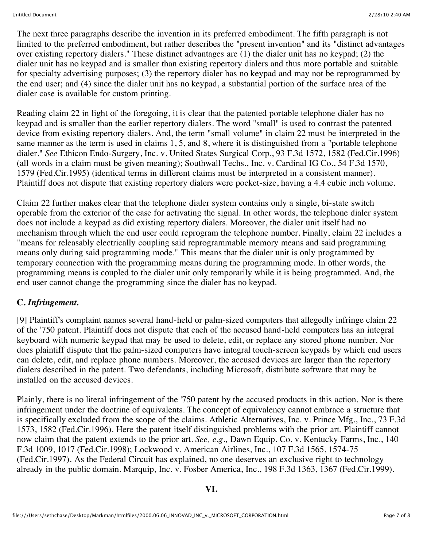The next three paragraphs describe the invention in its preferred embodiment. The fifth paragraph is not limited to the preferred embodiment, but rather describes the "present invention" and its "distinct advantages over existing repertory dialers." These distinct advantages are (1) the dialer unit has no keypad; (2) the dialer unit has no keypad and is smaller than existing repertory dialers and thus more portable and suitable for specialty advertising purposes; (3) the repertory dialer has no keypad and may not be reprogrammed by the end user; and (4) since the dialer unit has no keypad, a substantial portion of the surface area of the dialer case is available for custom printing.

Reading claim 22 in light of the foregoing, it is clear that the patented portable telephone dialer has no keypad and is smaller than the earlier repertory dialers. The word "small" is used to contrast the patented device from existing repertory dialers. And, the term "small volume" in claim 22 must be interpreted in the same manner as the term is used in claims 1, 5, and 8, where it is distinguished from a "portable telephone dialer." *See* Ethicon Endo-Surgery, Inc. v. United States Surgical Corp., 93 F.3d 1572, 1582 (Fed.Cir.1996) (all words in a claim must be given meaning); Southwall Techs., Inc. v. Cardinal IG Co., 54 F.3d 1570, 1579 (Fed.Cir.1995) (identical terms in different claims must be interpreted in a consistent manner). Plaintiff does not dispute that existing repertory dialers were pocket-size, having a 4.4 cubic inch volume.

Claim 22 further makes clear that the telephone dialer system contains only a single, bi-state switch operable from the exterior of the case for activating the signal. In other words, the telephone dialer system does not include a keypad as did existing repertory dialers. Moreover, the dialer unit itself had no mechanism through which the end user could reprogram the telephone number. Finally, claim 22 includes a "means for releasably electrically coupling said reprogrammable memory means and said programming means only during said programming mode." This means that the dialer unit is only programmed by temporary connection with the programming means during the programming mode. In other words, the programming means is coupled to the dialer unit only temporarily while it is being programmed. And, the end user cannot change the programming since the dialer has no keypad.

# **C.** *Infringement.*

[9] Plaintiff's complaint names several hand-held or palm-sized computers that allegedly infringe claim 22 of the '750 patent. Plaintiff does not dispute that each of the accused hand-held computers has an integral keyboard with numeric keypad that may be used to delete, edit, or replace any stored phone number. Nor does plaintiff dispute that the palm-sized computers have integral touch-screen keypads by which end users can delete, edit, and replace phone numbers. Moreover, the accused devices are larger than the repertory dialers described in the patent. Two defendants, including Microsoft, distribute software that may be installed on the accused devices.

Plainly, there is no literal infringement of the '750 patent by the accused products in this action. Nor is there infringement under the doctrine of equivalents. The concept of equivalency cannot embrace a structure that is specifically excluded from the scope of the claims. Athletic Alternatives, Inc. v. Prince Mfg., Inc., 73 F.3d 1573, 1582 (Fed.Cir.1996). Here the patent itself distinguished problems with the prior art. Plaintiff cannot now claim that the patent extends to the prior art. *See, e.g.,* Dawn Equip. Co. v. Kentucky Farms, Inc., 140 F.3d 1009, 1017 (Fed.Cir.1998); Lockwood v. American Airlines, Inc., 107 F.3d 1565, 1574-75 (Fed.Cir.1997). As the Federal Circuit has explained, no one deserves an exclusive right to technology already in the public domain. Marquip, Inc. v. Fosber America, Inc., 198 F.3d 1363, 1367 (Fed.Cir.1999).